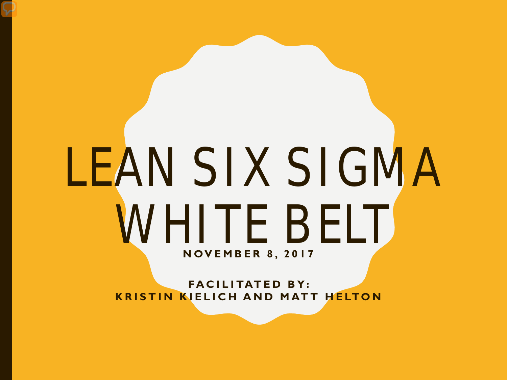# LEAN SIX SIGMA WHITE BELT **NOVEMBER 8, 2017**

**FACILITATED BY: KRISTIN KIELICH AND MATT HELTON**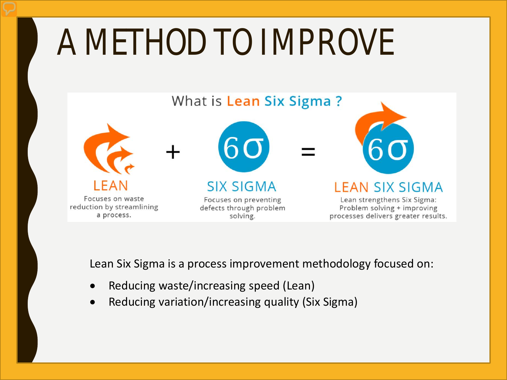# A METHOD TO IMPROVE



Lean Six Sigma is a process improvement methodology focused on:

- Reducing waste/increasing speed (Lean)
- Reducing variation/increasing quality (Six Sigma)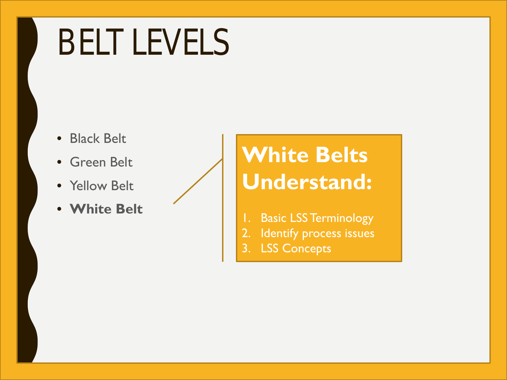# BELT LEVELS

- Black Belt
- Green Belt
- Yellow Belt
- **White Belt**

### **White Belts Understand:**

- 1. Basic LSS Terminology
- 2. Identify process issues
- 3. LSS Concepts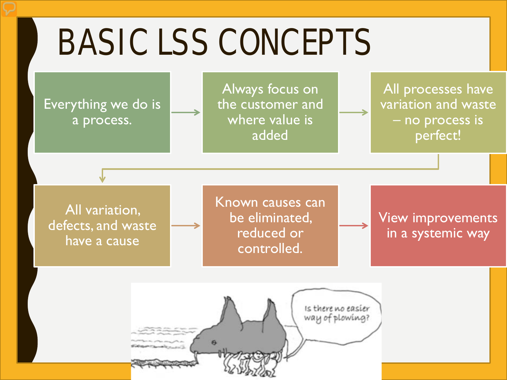## BASIC LSS CONCEPTS

Everything we do is a process.

Always focus on the customer and where value is added

All processes have variation and waste – no process is perfect!

All variation, defects, and waste have a cause

Known causes can be eliminated, reduced or controlled.

View improvements in a systemic way

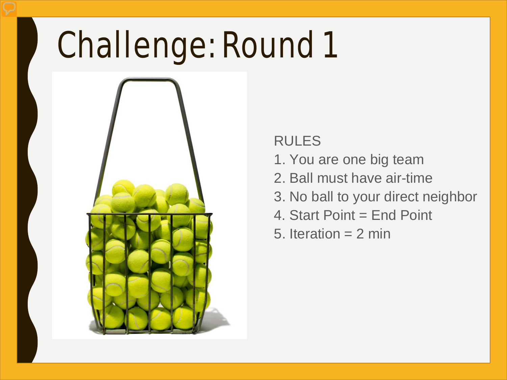# Challenge: Round 1



### RULES

- 1. You are one big team
- 2. Ball must have air-time
- 3. No ball to your direct neighbor
- 4. Start Point = End Point
- 5. Iteration  $= 2$  min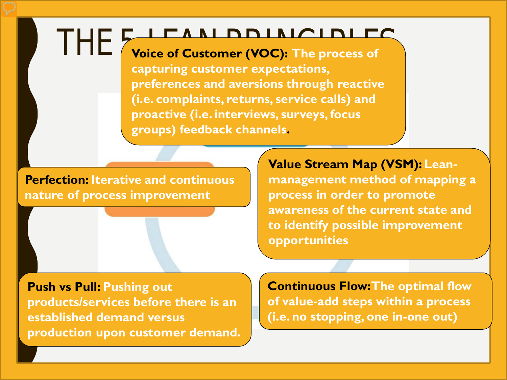### THE **FARL PRINCIPLE**

**capturing customer expectations, preferences and aversions through reactive (i.e. complaints, returns, service calls) and proactive (i.e. interviews, surveys, focus groups) feedback channels.**

**Perfection: Iterative and continuous nature of process improvement**

**Value Stream Map (VSM): Leanmanagement method of mapping a process in order to promote awareness of the current state and to identify possible improvement opportunities**

**Push vs Pull: Pushing out products/services before there is an established demand versus production upon customer demand.**

**Continuous Flow: The optimal flow of value-add steps within a process (i.e. no stopping, one in-one out)**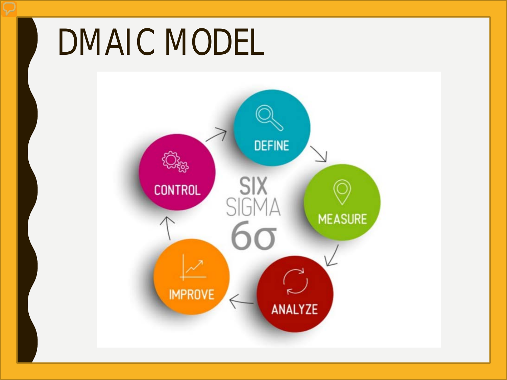### DMAIC MODEL

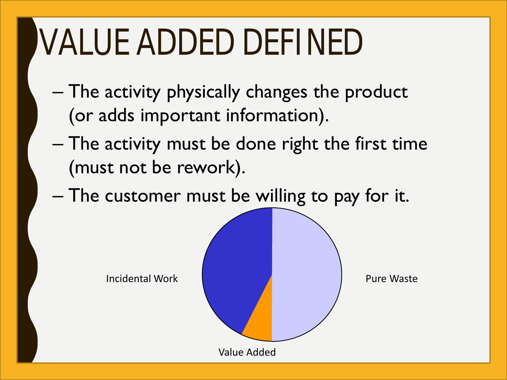# VALUE ADDED DEFINED

- The activity physically changes the product (or adds important information).
- The activity must be done right the first time (must not be rework).
- The customer must be willing to pay for it.

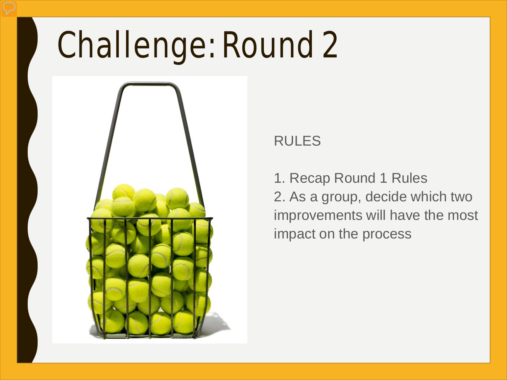## Challenge: Round 2



### RULES

1. Recap Round 1 Rules 2. As a group, decide which two improvements will have the most impact on the process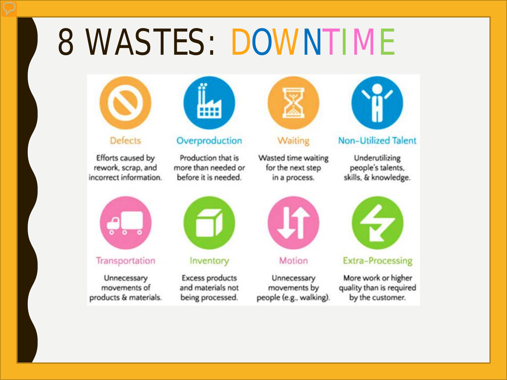### **8 WASTES: DOWNTIME**



**Defects** 

Efforts caused by rework, scrap, and incorrect information.



#### Transportation

Unnecessary movements of products & materials.



Overproduction

Production that is more than needed or before it is needed.



Inventory

**Excess products** and materials not being processed.



Waiting

Wasted time waiting for the next step in a process.



**Non-Utilized Talent** 

Underutilizing people's talents, skills, & knowledge.



Motion

Unnecessary movements by people (e.g., walking).



**Extra-Processing** 

More work or higher quality than is required by the customer.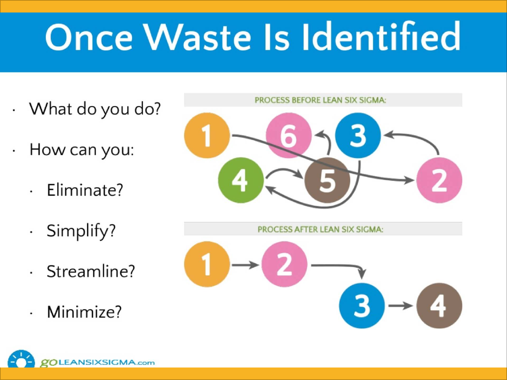# **Once Waste Is Identified**

- · What do you do?
- How can you:  $\bullet$ 
	- Eliminate?  $\ddot{\phantom{a}}$
	- Simplify?  $\bullet$
	- Streamline?
	- Minimize?



PROCESS AFTER LEAN SIX SIGMA:

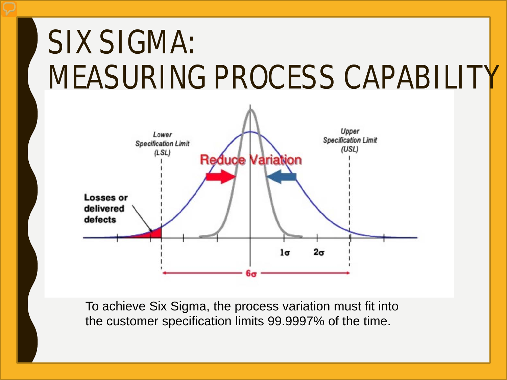### SIX SIGMA: MEASURING PROCESS CAPABILITY



To achieve Six Sigma, the process variation must fit into the customer specification limits 99.9997% of the time.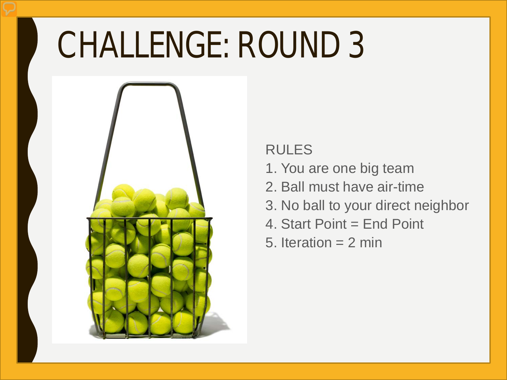## CHALLENGE: ROUND 3



### RULES

- 1. You are one big team
- 2. Ball must have air-time
- 3. No ball to your direct neighbor
- 4. Start Point = End Point
- 5. Iteration  $= 2$  min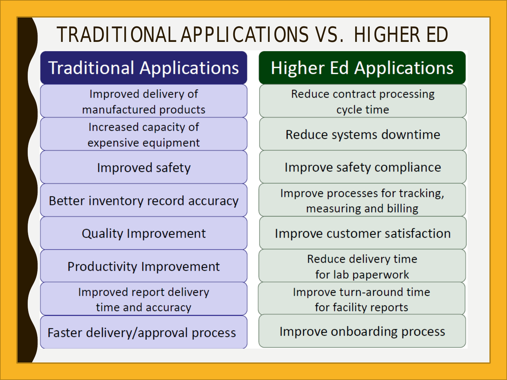### **TRADITIONAL APPLICATIONS VS. HIGHER ED**

### **Traditional Applications**

Improved delivery of manufactured products Increased capacity of expensive equipment

Improved safety

Better inventory record accuracy

**Quality Improvement** 

Productivity Improvement

Improved report delivery time and accuracy

Faster delivery/approval process

### **Higher Ed Applications**

Reduce contract processing cycle time

Reduce systems downtime

Improve safety compliance

Improve processes for tracking, measuring and billing

Improve customer satisfaction

Reduce delivery time for lab paperwork

Improve turn-around time for facility reports

Improve onboarding process